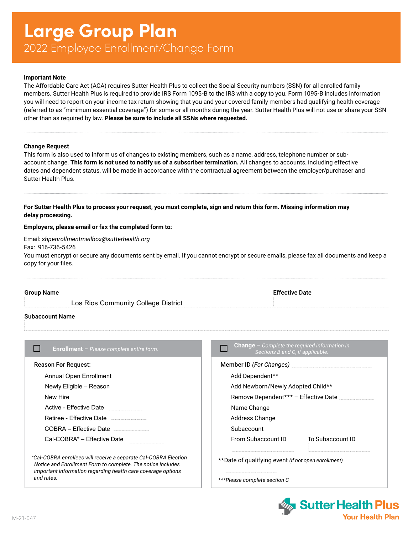# **Large Group Plan** 2022 Employee Enrollment/Change Form

#### **Important Note**

The Affordable Care Act (ACA) requires Sutter Health Plus to collect the Social Security numbers (SSN) for all enrolled family members. Sutter Health Plus is required to provide IRS Form 1095-B to the IRS with a copy to you. Form 1095-B includes information you will need to report on your income tax return showing that you and your covered family members had qualifying health coverage (referred to as "minimum essential coverage") for some or all months during the year. Sutter Health Plus will not use or share your SSN other than as required by law. **Please be sure to include all SSNs where requested.**

#### **Change Request**

This form is also used to inform us of changes to existing members, such as a name, address, telephone number or subaccount change. **This form is not used to notify us of a subscriber termination.** All changes to accounts, including effective dates and dependent status, will be made in accordance with the contractual agreement between the employer/purchaser and Sutter Health Plus.

**For Sutter Health Plus to process your request, you must complete, sign and return this form. Missing information may delay processing.**

#### **Employers, please email or fax the completed form to:**

Email: *[shpenrollmentmailbox@sutterhealth.org](mailto:shpenrollmentmailbox@sutterhealth.org)* Fax: 916-736-5426 You must encrypt or secure any documents sent by email. If you cannot encrypt or secure emails, please fax all documents and keep a copy for your files.

| <b>Group Name</b> |                                     | <b>Effective Date</b> |
|-------------------|-------------------------------------|-----------------------|
|                   | Los Rios Community College District |                       |
|                   |                                     |                       |

# Subaccount Name

| <b>Enrollment</b> - Please complete entire form.                                                                                                                                               | <b>Change</b> $-$ Complete the required information in<br>Sections B and C, if applicable.                                                                                                                                           |
|------------------------------------------------------------------------------------------------------------------------------------------------------------------------------------------------|--------------------------------------------------------------------------------------------------------------------------------------------------------------------------------------------------------------------------------------|
| <b>Reason For Request:</b>                                                                                                                                                                     | Member ID (For Changes) <b>Manual Contract Contract Contract Contract Contract Contract Contract Contract Contract Contract Contract Contract Contract Contract Contract Contract Contract Contract Contract Contract Contract C</b> |
| Annual Open Enrollment                                                                                                                                                                         | Add Dependent**                                                                                                                                                                                                                      |
|                                                                                                                                                                                                | Add Newborn/Newly Adopted Child**                                                                                                                                                                                                    |
| New Hire                                                                                                                                                                                       |                                                                                                                                                                                                                                      |
| Active - Effective Date                                                                                                                                                                        | Name Change                                                                                                                                                                                                                          |
| Retiree - Effective Date                                                                                                                                                                       | Address Change                                                                                                                                                                                                                       |
| COBRA - Effective Date                                                                                                                                                                         | Subaccount                                                                                                                                                                                                                           |
| Cal-COBRA* – Effective Date                                                                                                                                                                    | From Subaccount ID<br>To Subaccount ID                                                                                                                                                                                               |
| *Cal-COBRA enrollees will receive a separate Cal-COBRA Election<br>Notice and Enrollment Form to complete. The notice includes<br>important information regarding health care coverage options | **Date of qualifying event <i>(if not open enrollment)</i>                                                                                                                                                                           |
| and rates.                                                                                                                                                                                     | ***Please complete section C                                                                                                                                                                                                         |

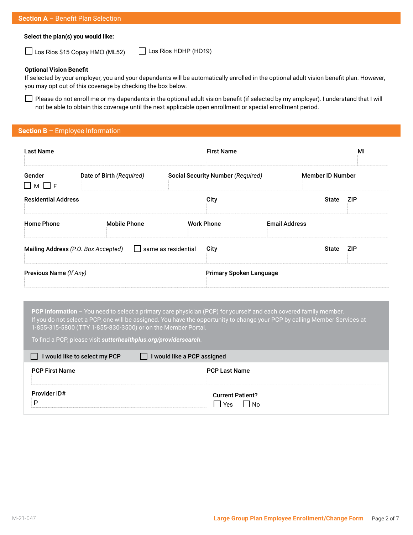# **Section A** – Benefit Plan Selection

### **Select the plan(s) you would like:**

 $\Box$  Los Rios \$15 Copay HMO (ML52)  $\Box$  Los Rios HDHP (HD19)

#### **Optional Vision Benefit**

If selected by your employer, you and your dependents will be automatically enrolled in the optional adult vision benefit plan. However, you may opt out of this coverage by checking the box below.

Please do not enroll me or my dependents in the optional adult vision benefit (if selected by my employer). I understand that I will not be able to obtain this coverage until the next applicable open enrollment or special enrollment period.

# **Section B** – Employee Information

| <b>Last Name</b>                    |                          |                            |                   | <b>First Name</b>                 |                         |              | МI         |
|-------------------------------------|--------------------------|----------------------------|-------------------|-----------------------------------|-------------------------|--------------|------------|
| Gender<br>$\Box$ M $\Box$ F         | Date of Birth (Required) |                            |                   | Social Security Number (Required) | <b>Member ID Number</b> |              |            |
| <b>Residential Address</b>          |                          |                            | City              |                                   |                         | <b>State</b> | <b>ZIP</b> |
| <b>Home Phone</b>                   | <b>Mobile Phone</b>      |                            | <b>Work Phone</b> |                                   | <b>Email Address</b>    |              |            |
| Mailing Address (P.O. Box Accepted) |                          | $\Box$ same as residential | City              |                                   |                         | <b>State</b> | <b>ZIP</b> |
| Previous Name (If Any)              |                          |                            |                   | <b>Primary Spoken Language</b>    |                         |              |            |

**PCP Information** – You need to select a primary care physician (PCP) for yourself and each covered family member. If you do not select a PCP, one will be assigned. You have the opportunity to change your PCP by calling Member Services at 1-855-315-5800 (TTY 1-855-830-3500) or on the Member Portal.

To find a PCP, please visit *[sutterhealthplus.org/providersearch](http://sutterhealthplus.org/providersearch)*.

| I would like to select my PCP<br>$\mathbf{L}$ | I would like a PCP assigned |
|-----------------------------------------------|-----------------------------|
| <b>PCP First Name</b>                         | <b>PCP Last Name</b>        |
|                                               |                             |
| Provider ID#                                  | <b>Current Patient?</b>     |
|                                               | Yes<br>N∩                   |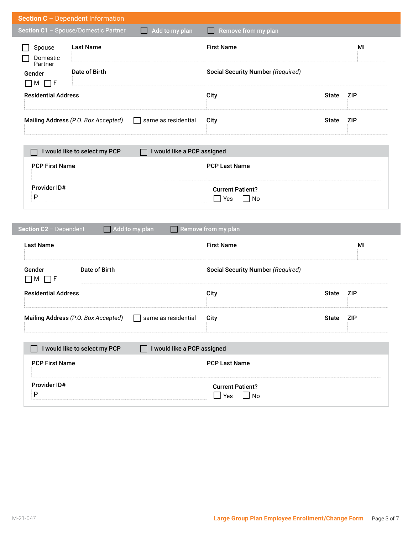| Section C - Dependent Information                       |                                             |                                                    |              |            |
|---------------------------------------------------------|---------------------------------------------|----------------------------------------------------|--------------|------------|
| Section C1 - Spouse/Domestic Partner                    | Add to my plan<br><b>Taratta</b>            | Remove from my plan<br>l I                         |              |            |
| <b>Last Name</b><br>Spouse<br>Domestic                  |                                             | <b>First Name</b>                                  |              | MI         |
| Partner<br>Date of Birth<br>Gender<br>$\Box$ M $\Box$ F |                                             | <b>Social Security Number (Required)</b>           |              |            |
| <b>Residential Address</b>                              |                                             | City                                               | <b>State</b> | <b>ZIP</b> |
| Mailing Address (P.O. Box Accepted)                     | same as residential                         | City                                               | <b>State</b> | <b>ZIP</b> |
| I would like to select my PCP                           | I would like a PCP assigned                 |                                                    |              |            |
| <b>PCP First Name</b>                                   |                                             | <b>PCP Last Name</b>                               |              |            |
| Provider ID#<br>P                                       |                                             | <b>Current Patient?</b><br>$\Box$ Yes<br>$\Box$ No |              |            |
| Section C2 - Dependent                                  | Add to my plan<br>I I                       | Remove from my plan                                |              |            |
| <b>Last Name</b>                                        |                                             | <b>First Name</b>                                  |              | MI         |
| Gender<br>$\Box$ M $\Box$ F                             | Date of Birth                               | <b>Social Security Number (Required)</b>           |              |            |
| <b>Residential Address</b>                              |                                             | City                                               | <b>State</b> | <b>ZIP</b> |
| Mailing Address (P.O. Box Accepted)                     | same as residential                         | City                                               | <b>State</b> | <b>ZIP</b> |
| I would like to select my PCP                           | I would like a PCP assigned<br>$\mathsf{L}$ |                                                    |              |            |
| <b>PCP First Name</b>                                   |                                             | <b>PCP Last Name</b>                               |              |            |
|                                                         |                                             |                                                    |              |            |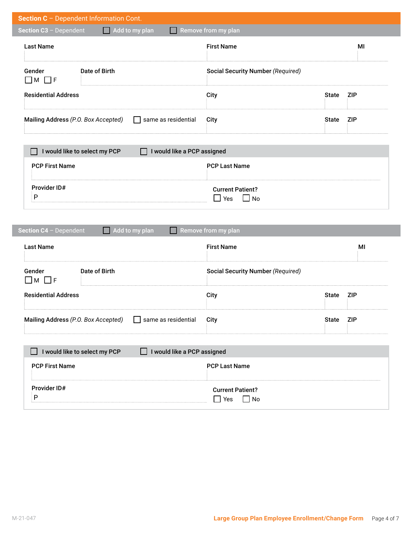| Add to my plan<br>Section C3 - Dependent<br>. .                                                                         | Remove from my plan                      |              |            |
|-------------------------------------------------------------------------------------------------------------------------|------------------------------------------|--------------|------------|
| <b>Last Name</b>                                                                                                        | <b>First Name</b>                        |              | MI         |
| Gender<br>Date of Birth<br>$\Box$ M $\Box$ F                                                                            | <b>Social Security Number (Required)</b> |              |            |
| <b>Residential Address</b>                                                                                              | City                                     | <b>State</b> | <b>ZIP</b> |
| Mailing Address (P.O. Box Accepted)<br>same as residential<br>$\mathbf{I}$                                              | City                                     | <b>State</b> | <b>ZIP</b> |
| I would like to select my PCP<br>I would like a PCP assigned<br>$\mathbf{I}$                                            |                                          |              |            |
| <b>PCP First Name</b>                                                                                                   | <b>PCP Last Name</b>                     |              |            |
| Provider ID#                                                                                                            | <b>Current Patient?</b>                  |              |            |
| $\mathsf{P}$                                                                                                            | $\Box$ Yes<br>$\Box$ No                  |              |            |
| Section C4 - Dependent<br>Add to my plan<br>ш                                                                           | Remove from my plan                      |              |            |
| <b>Last Name</b>                                                                                                        | <b>First Name</b>                        |              | MI         |
| Date of Birth                                                                                                           | <b>Social Security Number (Required)</b> |              |            |
|                                                                                                                         | City                                     | <b>State</b> | <b>ZIP</b> |
| Gender<br>$\Box$ M $\Box$ F<br><b>Residential Address</b><br>same as residential<br>Mailing Address (P.O. Box Accepted) | City                                     | <b>State</b> | <b>ZIP</b> |
| I would like to select my PCP<br>I would like a PCP assigned                                                            |                                          |              |            |
| <b>PCP First Name</b>                                                                                                   | <b>PCP Last Name</b>                     |              |            |

I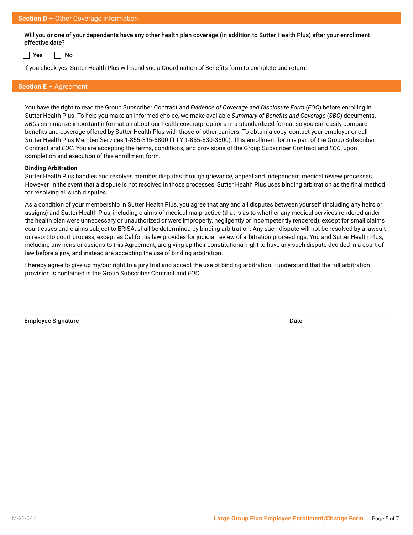Will you or one of your dependents have any other health plan coverage (in addition to Sutter Health Plus) after your enrollment effective date?

 $\Box$  Yes  $\Box$  No

If you check yes, Sutter Health Plus will send you a Coordination of Benefits form to complete and return.

# **Section E** – Agreement

You have the right to read the Group Subscriber Contract and *Evidence of Coverage and Disclosure Form* (*EOC*) before enrolling in Sutter Health Plus. To help you make an informed choice, we make available *Summary of Benefits and Coverage* (*SBC*) documents. *SBCs* summarize important information about our health coverage options in a standardized format so you can easily compare benefits and coverage offered by Sutter Health Plus with those of other carriers. To obtain a copy, contact your employer or call Sutter Health Plus Member Services 1-855-315-5800 (TTY 1-855-830-3500). This enrollment form is part of the Group Subscriber Contract and *EOC*. You are accepting the terms, conditions, and provisions of the Group Subscriber Contract and *EOC*, upon completion and execution of this enrollment form.

#### **Binding Arbitration**

Sutter Health Plus handles and resolves member disputes through grievance, appeal and independent medical review processes. However, in the event that a dispute is not resolved in those processes, Sutter Health Plus uses binding arbitration as the final method for resolving all such disputes.

As a condition of your membership in Sutter Health Plus, you agree that any and all disputes between yourself (including any heirs or assigns) and Sutter Health Plus, including claims of medical malpractice (that is as to whether any medical services rendered under the health plan were unnecessary or unauthorized or were improperly, negligently or incompetently rendered), except for small claims court cases and claims subject to ERISA, shall be determined by binding arbitration. Any such dispute will not be resolved by a lawsuit or resort to court process, except as California law provides for judicial review of arbitration proceedings. You and Sutter Health Plus, including any heirs or assigns to this Agreement, are giving up their constitutional right to have any such dispute decided in a court of law before a jury, and instead are accepting the use of binding arbitration.

I hereby agree to give up my/our right to a jury trial and accept the use of binding arbitration. I understand that the full arbitration provision is contained in the Group Subscriber Contract and *EOC*.

Employee Signature **Date**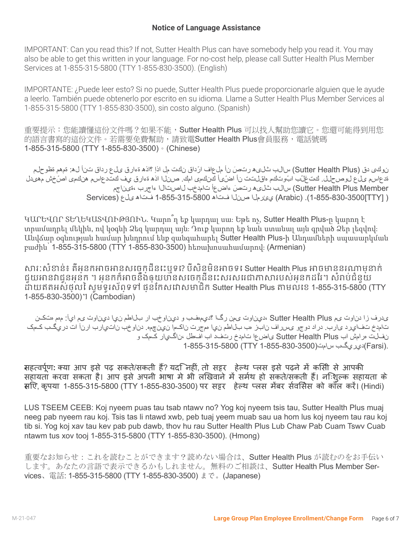IMPORTANT: Can you read this? If not, Sutter Health Plus can have somebody help you read it. You may also be able to get this written in your language. For no-cost help, please call Sutter Health Plus Member Services at 1-855-315-5800 (TTY 1-855-830-3500). (English)

IMPORTANTE: ¿Puede leer esto? Si no puede, Sutter Health Plus puede proporcionarle alguien que le ayude a leerlo. También puede obtenerlo por escrito en su idioma. Llame a Sutter Health Plus Member Services al 1-855-315-5800 (TTY 1-855-830-3500), sin costo alguno. (Spanish)

重要提示:您能讀懂這份文件嗎?如果不能, Sutter Health Plus 可以找人幫助您讀它。您還可能得到用您 的語言書寫的這份文件。若需要免費幫助,請致電Sutter Health Plus會員服務,電話號碼 1-855-315-5800 (TTY 1-855-830-3500)。(Chinese)

ن وكي دق (Sutter Health Plus) سالب شليھ رتص نأ ملعاف ارًداق نكت مل اذإ ؟اذھ ةءارق ىلع رداق تنأ له: قمھم قظوحلم قدعاسم ىلع لوصحلل. كت غلْب اب وتكم ماقلتت نأ اضَیٰأ كنكمی امك. صنلا اذھ ةءارق يف كتدعاسم ھنكمی اصَّخش مھیدل Member Plus Health Sutter (سالب ثلیھ رت َص ءاضعأ تامدخب لاصتالا ءاجرب ،ةیناجم ( [TTY[1-855-830-3500(.) Arabic (يئرملا صنلا فتاھ 1-855-315-5800 فتاھ ىلع (Services

ԿԱՐԵՎՈՐ ՏԵՂԵԿԱՏՎՈՒԹՅՈՒՆ. Կարո՞ղ եք կարդալ սա։ Եթե ոչ, Sutter Health Plus-ը կարող է տրամադրել մեկին, ով կօգնի Ձեզ կարդալ այն։ Դուք կարող եք նաև ստանալ այն գրված Ձեր լեզվով։ Անվճար օգնության համար խնդրում ենք զանգահարել Sutter Health Plus-ի Անդամների սպասարկման բաժին՝ 1-855-315-5800 (TTY 1-855-830-3500) հեռախոսահամարով։ (Armenian)

សារៈសំខាន់៖ តើអ្នកអាចអានសេចក្ដីនេះឬទេ? បើសិនមិនអាចទេ Sutter Health Plus អាចមាននរណាម្នាក់ ជួយអានវាជូនអ្នក ។ អ្នកក៏អាចនឹងឲ្យបានសេចក្ដីនេះសរសេរជាភាសារបស់អ្នកដែរ។ សំរាប់ជំនួយ ដោយ ឥតអស់ថ្លៃ សូមទូរស័ព្ទទៅ ផ្នែកសេវាសមាជិក Sutter Health Plus តាមលេខ 1-855-315-5800 (TTY 1-855-830-3500)។ (Cambodian)

 یدرف زا دناوت یم Plus Health Sutter ،ديناوت یمن رگا ؟ديمهفب و ديناوخب ار بلاطم نيا ديناوت یم ايآ: مهم هتکن تامدخ تفايرد یارب. دراد دوجو یسراف نابز هب بلاطم نيا همجرت ناکما نينچمه. دناوخب ناتيارب ارنآ ات دريگب کمک نفلت هرامش اب Plus Health Sutter یاضعا تامدخ رتفد اب افطل ،ناگيار کمک و .(Farsi)دي ريگب سامت(350-380-355-830-3500 TTY) 1-855-315-

महत्वपूर्ण ट **:** क्या आप इसे पढ़ सकते/सकती हैं? यदि नहीं, तो सट्ट हेल्थ प्लस इसे पढ़ने में किसी से आपकी सहायता कटवा सकता है। आप इसे अपनी भाषा मे भी लिखवाने में समर्थ हो सकते/सकती हैं। निःशुल्क सहायता के लिए ट , कृपया 1-855-315-5800 (TTY 1-855-830-3500) पट सट्ट हेल्थ प्लस मेंबट सर्विसेस को कॉल कटें। (Hindi)

LUS TSEEM CEEB: Koj nyeem puas tau tsab ntawv no? Yog koj nyeem tsis tau, Sutter Health Plus muaj neeg pab nyeem rau koj. Tsis tas li ntawd xwb, peb tuaj yeem muab sau ua hom lus koj nyeem tau rau koj tib si. Yog koj xav tau kev pab pub dawb, thov hu rau Sutter Health Plus Lub Chaw Pab Cuam Tswv Cuab ntawm tus xov tooj 1-855-315-5800 (TTY 1-855-830-3500). (Hmong)

重要なお知らせ:これを読むことができます?読めない場合は、Sutter Health Plus が読むのをお手伝い します。あなたの言語で表示できるかもしれません。無料のご相談は、Sutter Health Plus Member Services、電話: 1-855-315-5800 (TTY 1-855-830-3500) まで。(Japanese)